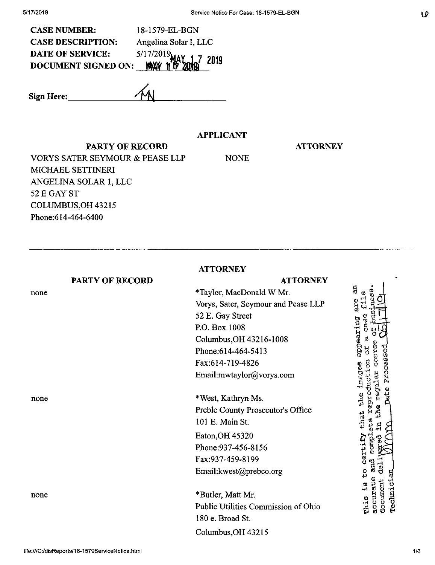| <b>CASE NUMBER:</b>                                            | 18-1579-EL-BGN        |
|----------------------------------------------------------------|-----------------------|
| <b>CASE DESCRIPTION:</b>                                       | Angelina Solar I, LLC |
|                                                                |                       |
| DATE OF SERVICE: 5/17/2019<br>DOCUMENT SIGNED ON: MAY 1 2 2019 |                       |

**Sign Here:\_** *4<sup>m</sup>*

## **APPLICANT**

NONE

#### PARTY OF RECORD

**ATTORNEY**

VORYS SATER SEYMOUR & PEASE LLP MICHAEL SETTINERI ANGELINA SOLAR 1, LLC 52 E GAY ST COLUMBUS,OH 43215 Phone:614-464-6400

**ATTORNEY PARTY OF RECORD ATTORNEY** ã \*Taylor> MacDonald W Mr.  $\boldsymbol{\omega}$ none and a series of the series of the series of the series of the series of the series of the series of the s<br>and the series of the series of the series of the series of the series of the series of the series of the serie are Vorys, Sater, Seymour and Pease LLP 52 E. Gay Street appearing P.O. Box 1008 Columbus,OH 43216-1008 Phone:614-464-5413 Fax:614-719-4826 imeges Email:mwtaylor@vorys.com erra none \*West, Kathryn Ms. Preble County Prosecutor's Office o cartify that<br>and complete r 101 E. Main St. Eaton,OH 45320 Phone:937-456-8156 Fax:937-459-8199 chis is to Email:kwest@prebco.org accurate<br>document rechnici none \*Butler, Matt Mr. Public Utilities Commission of Ohio 180 e. Broad St. Columbus,OH 43215

**LD**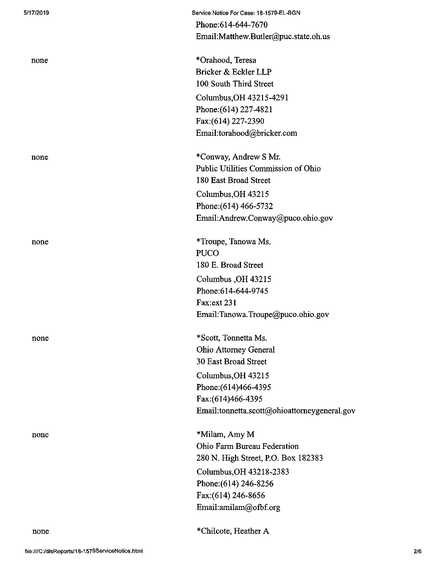| 5/17/2019 | Service Notice For Case: 18-1579-EL-BGN      |
|-----------|----------------------------------------------|
|           | Phone: 614-644-7670                          |
|           | Email:Matthew.Butler@puc.state.oh.us         |
| none      | *Orahood, Teresa                             |
|           | Bricker & Eckler LLP                         |
|           | 100 South Third Street                       |
|           | Columbus, OH 43215-4291                      |
|           | Phone: (614) 227-4821                        |
|           | Fax: (614) 227-2390                          |
|           | Email:torahood@bricker.com                   |
| none      | *Conway, Andrew S Mr.                        |
|           | Public Utilities Commission of Ohio          |
|           | 180 East Broad Street                        |
|           | Columbus, OH 43215                           |
|           | Phone: (614) 466-5732                        |
|           | Email:Andrew.Conway@puco.ohio.gov            |
| none      | *Troupe, Tanowa Ms.                          |
|           | <b>PUCO</b>                                  |
|           | 180 E. Broad Street                          |
|           | Columbus, OH 43215                           |
|           | Phone: 614-644-9745                          |
|           | Fax:ext 231                                  |
|           | Email:Tanowa.Troupe@puco.ohio.gov            |
| none      | *Scott, Tonnetta Ms.                         |
|           | <b>Ohio Attorney General</b>                 |
|           | 30 East Broad Street                         |
|           | Columbus, OH 43215                           |
|           | Phone: (614) 466-4395                        |
|           | Fax:(614)466-4395                            |
|           | Email:tonnetta.scott@ohioattorneygeneral.gov |
| none      | *Milam, Amy M                                |
|           | Ohio Farm Bureau Federation                  |
|           | 280 N. High Street, P.O. Box 182383          |
|           | Columbus, OH 43218-2383                      |
|           | Phone: (614) 246-8256                        |
|           | Fax:(614) 246-8656                           |
|           | Email:amilam@ofbf.org                        |
| none      | *Chilcote, Heather A                         |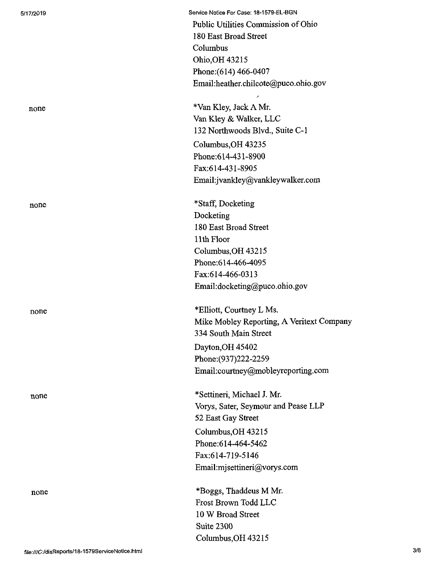none

5/17/2019 Service Notice For Case: 18-1579-EL-BGN Public Utilities Commission of Ohio 180 East Broad Street Columbus Ohio,OH 43215 Phone:(614) 466-0407 Email:heather.chilcote@puco.ohio.gov

none \*Van Kley, Jack A Mr. Van Kley& Walker, LLC 132 Northwoods Blvd., Suite C-1 Columbus,OH 43235 Phone;614-431-8900 Fax:614-431-8905 Email:jvankley@vankleywalker.com

> \*Staff, Docketing Docketing 180 East Broad Street 11th Floor Columbus,OH 43215 Phone;614-466-4095 Fax:614-466-0313 Email:docketing@puco.ohio.gov

none \*Elliott, Courtney L Ms. Mike Mobley Reporting, A Veritext Company 334 South Main Street Dayton,OH 45402 Phone:(937)222-2259 Email:courtney@mobleyreporting.com

none \*Settineri, Michael J. Mr. Vorys, Sater, Seymour and Pease LLP 52 East Gay Street Columbus,OH 43215 Phone:614-464-5462 Fax:614-719-5146 Email:mjsettineri@vorys.com

none \*Boggs, Thaddeus M Mr. Frost Brown Todd LLC 10 W Broad Street Suite 2300 Columbus,OH 43215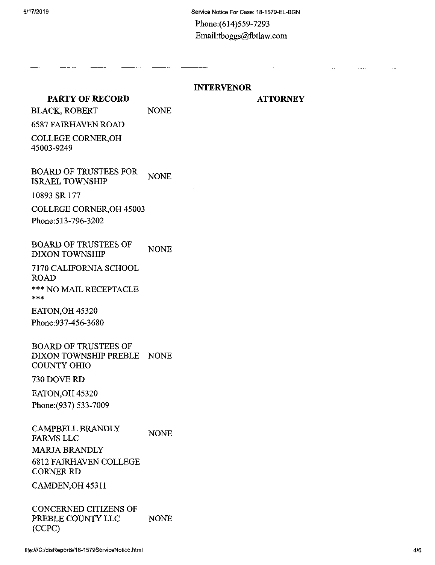## **INTERVENOR**

NONE

# **PARTY OF RECORD** BLACK, ROBERT

### **ATTORNEY**

6587 FAIRHAVEN ROAD COLLEGE CORNER,OH

45003-9249

BOARD OF TRUSTEES FOR ISRAEL TOWNSHIP NONE

10893 SR 177

COLLEGE CORNER,OH 45003

Phone:513-796-3202

BOARD OF TRUSTEES OF DIXON TOWNSHIP NONE

7170 CALIFORNIA SCHOOL ROAD \*\*\* NO MAIL RECEPTACLE

EATON,OH 45320 Phone:937-456-3680

BOARD OF TRUSTEES OF DIXON TOWNSHIP PREBLE – NONE<br>COUNTY OUIO COUNTY OHIO

#### 730 DOVE RD

EATON,OH 45320 Phone:(937) 533-7009

CAMPBELL BRANDLY FARMS LLC MARJA BRANDLY 6812 FAIRHAVEN COLLEGE CORNER RD **NONE** 

CAMDEN, OH 45311

CONCERNED CITIZENS OF PREBLE COUNTY LLC (CCPC) NONE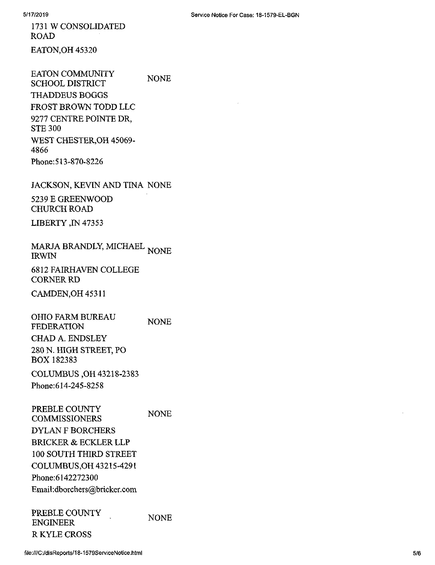1731 W CONSOLIDATED ROAD EATON,OH 45320

EATON COMMUNITY SCHOOL DISTRICT THADDEUS BOGGS FROST BROWN TODD LLC 9277 CENTRE POINTE DR, STE 300 WEST CHESTER,OH 45069- 4866 Phone:513-870-8226 NONE

JACKSON, KEVIN AND TINA NONE

5239 E GREENWOOD CHURCH ROAD

LIBERTY ,IN 47353

MARJA BRANDLY, MICHAEL <sub>NONE</sub><br>IRWIN IRWIN

6812 FAIRHAVEN COLLEGE **CORNER RD** 

CAMDEN,OH 45311

OHIO FARM BUREAU FEDERATION CHAD A. ENDSLEY 280 N. HIGH STREET, PO BOX 182383 NONE

COLUMBUS ,OH 43218-2383 Phone:614-245-8258

PREBLE COUNTY COMMISSIONERS DYLAN F BORCHERS BRICKER & ECKLER LLP 100 SOUTH THIRD STREET COLUMBUS,OH 43215-4291 Phone;6142272300 Email:dborchers@bricker.com NONE

PREBLE COUNTY ENGINEER RKYLE CROSS **NONE**